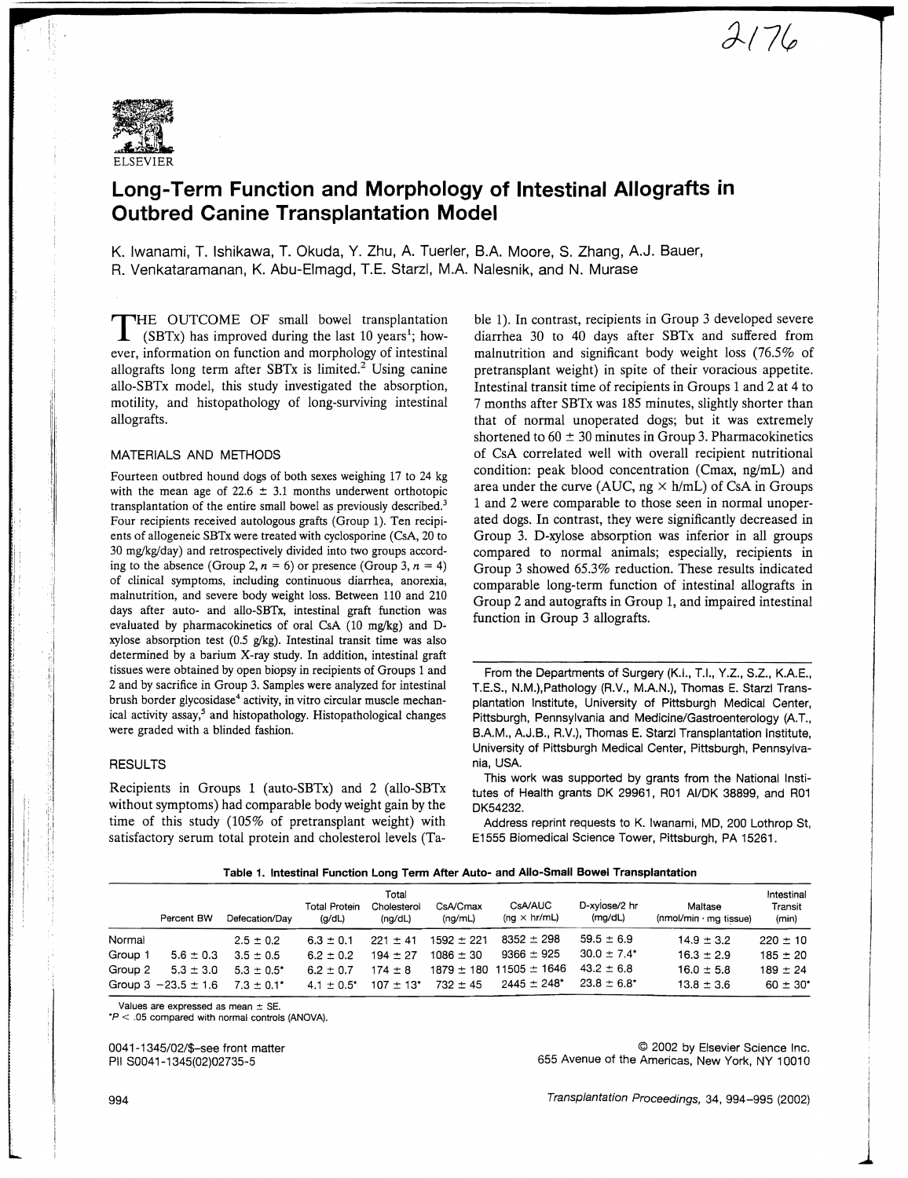

# **Long-Term Function and Morphology of Intestinal Allografts in Outbred Canine Transplantation Model**

K. Iwanami, T. Ishikawa, T. Okuda, Y. Zhu, A. Tuerler, BA Moore, S. Zhang, A.J. Bauer, R. Venkataramanan, K. Abu-Elmagd, T.E. Starzl, M.A. Nalesnik, and N. Murase

THE OUTCOME OF small bowel transplantation  $\perp$  (SBTx) has improved during the last 10 years<sup>1</sup>; however, information on function and morphology of intestinal allografts long term after SBT $x$  is limited.<sup>2</sup> Using canine allo-SBTx model, this study investigated the absorption, motility, and histopathology of long-surviving intestinal allografts.

### MATERIALS AND METHODS

Fourteen outbred hound dogs of both sexes weighing 17 to 24 kg with the mean age of 22.6  $\pm$  3.1 months underwent orthotopic transplantation of the entire small bowel as previously described.3 Four recipients received autologous grafts (Group 1). Ten recipients of allogeneic SBTx were treated with cyclosporine (CsA, 20 to 30 mg/kg/day) and retrospectively divided into two groups according to the absence (Group 2,  $n = 6$ ) or presence (Group 3,  $n = 4$ ) of clinical symptoms, including continuous diarrhea, anorexia, malnutrition, and severe body weight loss. Between 110 and 210 days after auto- and allo-SBTx, intestinal graft function was evaluated by pharmacokinetics of oral CsA  $(10 \text{ mg/kg})$  and Dxylose absorption test  $(0.5 \text{ g/kg})$ . Intestinal transit time was also determined by a barium X-ray study. In addition, intestinal graft tissues were obtained by open biopsy in recipients of Groups 1 and 2 and by sacrifice in Group 3. Samples were analyzed for intestinal brush border glycosidase<sup>4</sup> activity, in vitro circular muscle mechanical activity assay,<sup>5</sup> and histopathology. Histopathological changes were graded with a blinded fashion.

#### RESULTS

i

i',

 $\mathbb{I}$ 

Recipients in Groups 1 (auto-SBTx) and 2 (allo-SBTx without symptoms) had comparable body weight gain by the time of this study (105% of pretransplant weight) with satisfactory serum total protein and cholesterol levels (Ta-

ble 1). In contrast, recipients in Group 3 developed severe diarrhea 30 to 40 days after SBTx and suffered from malnutrition and significant body weight loss (76.5% of pretransplant weight) in spite of their voracious appetite. Intestinal transit time of recipients in Groups 1 and 2 at 4 to 7 months after SBTx was 185 minutes, slightly shorter than that of normal unoperated dogs; but it was extremely shortened to  $60 \pm 30$  minutes in Group 3. Pharmacokinetics of CsA correlated well with overall recipient nutritional condition: peak blood concentration (Cmax, ng/mL) and area under the curve (AUC, ng  $\times$  h/mL) of CsA in Groups 1 and 2 were comparable to those seen in normal unoperated dogs. In contrast, they were significantly decreased in Group 3. D-xylose absorption was inferior in all groups compared to normal animals; especially, recipients in Group 3 showed 65.3% reduction. These results indicated comparable long-term function of intestinal allografts in Group 2 and autografts in Group 1, and impaired intestinal function in Group 3 allografts.

 $2176$ 

From the Departments of Surgery (K.I., T.!., Y.Z., S.Z., K.A.E., T.E.S., N.M.),Pathology (R.V., M.A.N.), Thomas E. Starzl Transplantation Institute, University of Pittsburgh Medical Center, Pittsburgh, Pennsylvania and Medicine/Gastroenterology (A.T., B.A.M., AJ.B., R.V.), Thomas E. Starzl Transplantation Institute, University of Pittsburgh Medical Center, Pittsburgh, Pennsylvania, USA

This work was supported by grants from the National Institutes of Health grants OK 29961, R01 AI/OK 38899, and R01 OK54232.

Address reprint requests to K. Iwanami, MD, 200 Lothrop St, E1555 Biomedical Science Tower, Pittsburgh, PA 15261.

|         | Percent BW              | Defecation/Dav  | <b>Total Protein</b><br>(q/dL) | Total<br>Cholesterol<br>(ng/dL) | CsA/Cmax<br>(nq/mL) | <b>CsA/AUC</b><br>$(nq \times hr/mL)$ | D-xvlose/2 hr<br>(mg/dL) | Maltase<br>$(mmol/min \cdot mg$ tissue) | Intestinal<br>Transit<br>(min) |
|---------|-------------------------|-----------------|--------------------------------|---------------------------------|---------------------|---------------------------------------|--------------------------|-----------------------------------------|--------------------------------|
| Normal  |                         | $2.5 \pm 0.2$   | $6.3 \pm 0.1$                  | $221 + 41$                      | $1592 \pm 221$      | $8352 + 298$                          | $59.5 \pm 6.9$           | $14.9 + 3.2$                            | $220 \pm 10$                   |
| Group 1 | $5.6 \pm 0.3$           | $3.5 \pm 0.5$   | $6.2 \pm 0.2$                  | $194 \pm 27$                    | $1086 \pm 30$       | $9366 \pm 925$                        | $30.0 \pm 7.4^*$         | $16.3 \pm 2.9$                          | $185 \pm 20$                   |
| Group 2 | $5.3 \pm 3.0$           | $5.3 \pm 0.5^*$ | $6.2 + 0.7$                    | $174 \pm 8$                     |                     | $1879 \pm 180$ 11505 $\pm$ 1646       | $43.2 \pm 6.8$           | $16.0 \pm 5.8$                          | $189 \pm 24$                   |
|         | Group 3 $-23.5 \pm 1.6$ | $7.3 \pm 0.1^*$ | $4.1 \pm 0.5$ <sup>*</sup>     | $107 + 13$ <sup>*</sup>         | $732 \pm 45$        | $2445 \pm 248$ <sup>*</sup>           | $23.8 \pm 6.8^*$         | $13.8 \pm 3.6$                          | $60 \pm 30^*$                  |

Values are expressed as mean  $\pm$  SE.

 $P < .05$  compared with normal controls (ANOVA).

0041-1345/02/\$-see front matter PII S0041-1345(02)02735-5

© 2002 by Elsevier Science Inc. 655 Avenue of the Americas, New York, NY 10010

i j., i  $\overline{\phantom{a}}$ I I I  $\overline{\phantom{a}}$